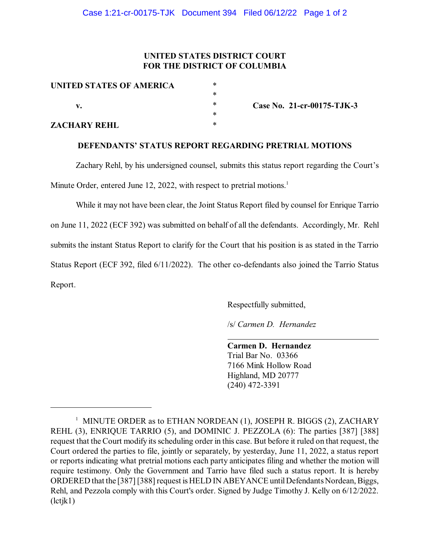## **UNITED STATES DISTRICT COURT FOR THE DISTRICT OF COLUMBIA**

| UNITED STATES OF AMERICA | $\ast$ |
|--------------------------|--------|
|                          | $\ast$ |
| v.                       | $\ast$ |
|                          | $\ast$ |
| <b>ZACHARY REHL</b>      | $\ast$ |

**Case No. 21-cr-00175-TJK-3**

## **DEFENDANTS' STATUS REPORT REGARDING PRETRIAL MOTIONS**

Zachary Rehl, by his undersigned counsel, submits this status report regarding the Court's Minute Order, entered June 12, 2022, with respect to pretrial motions.<sup>1</sup>

While it may not have been clear, the Joint Status Report filed by counsel for Enrique Tarrio on June 11, 2022 (ECF 392) was submitted on behalf of all the defendants. Accordingly, Mr. Rehl submits the instant Status Report to clarify for the Court that his position is as stated in the Tarrio Status Report (ECF 392, filed 6/11/2022). The other co-defendants also joined the Tarrio Status Report.

Respectfully submitted,

/s/ *Carmen D. Hernandez*

**Carmen D. Hernandez** Trial Bar No. 03366 7166 Mink Hollow Road Highland, MD 20777 (240) 472-3391

 $^1$  MINUTE ORDER as to ETHAN NORDEAN (1), JOSEPH R. BIGGS (2), ZACHARY REHL (3), ENRIQUE TARRIO (5), and DOMINIC J. PEZZOLA (6): The parties [387] [388] request that the Court modify its scheduling order in this case. But before it ruled on that request, the Court ordered the parties to file, jointly or separately, by yesterday, June 11, 2022, a status report or reports indicating what pretrial motions each party anticipates filing and whether the motion will require testimony. Only the Government and Tarrio have filed such a status report. It is hereby ORDERED that the [387] [388] request is HELD IN ABEYANCE until Defendants Nordean, Biggs, Rehl, and Pezzola comply with this Court's order. Signed by Judge Timothy J. Kelly on 6/12/2022. (lctjk1)